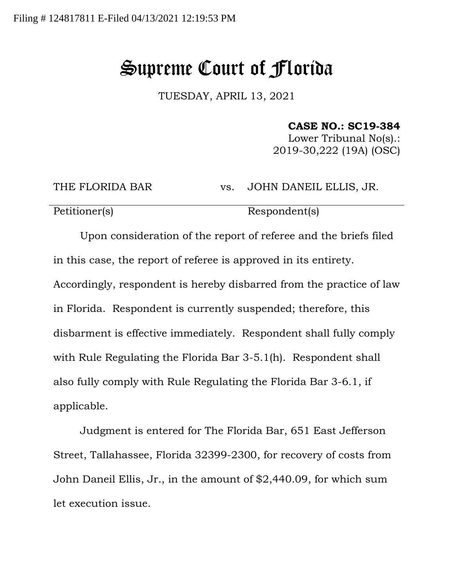## Supreme Court of Florida

TUESDAY, APRIL 13, 2021

## **CASE NO.: SC19-384**

Lower Tribunal No(s).: 2019-30,222 (19A) (OSC)

THE FLORIDA BAR vs. JOHN DANEIL ELLIS, JR.

Petitioner(s) Respondent(s)

Upon consideration of the report of referee and the briefs filed in this case, the report of referee is approved in its entirety. Accordingly, respondent is hereby disbarred from the practice of law in Florida. Respondent is currently suspended; therefore, this disbarment is effective immediately. Respondent shall fully comply with Rule Regulating the Florida Bar 3-5.1(h). Respondent shall also fully comply with Rule Regulating the Florida Bar 3-6.1, if applicable.

Judgment is entered for The Florida Bar, 651 East Jefferson Street, Tallahassee, Florida 32399-2300, for recovery of costs from John Daneil Ellis, Jr., in the amount of \$2,440.09, for which sum let execution issue.